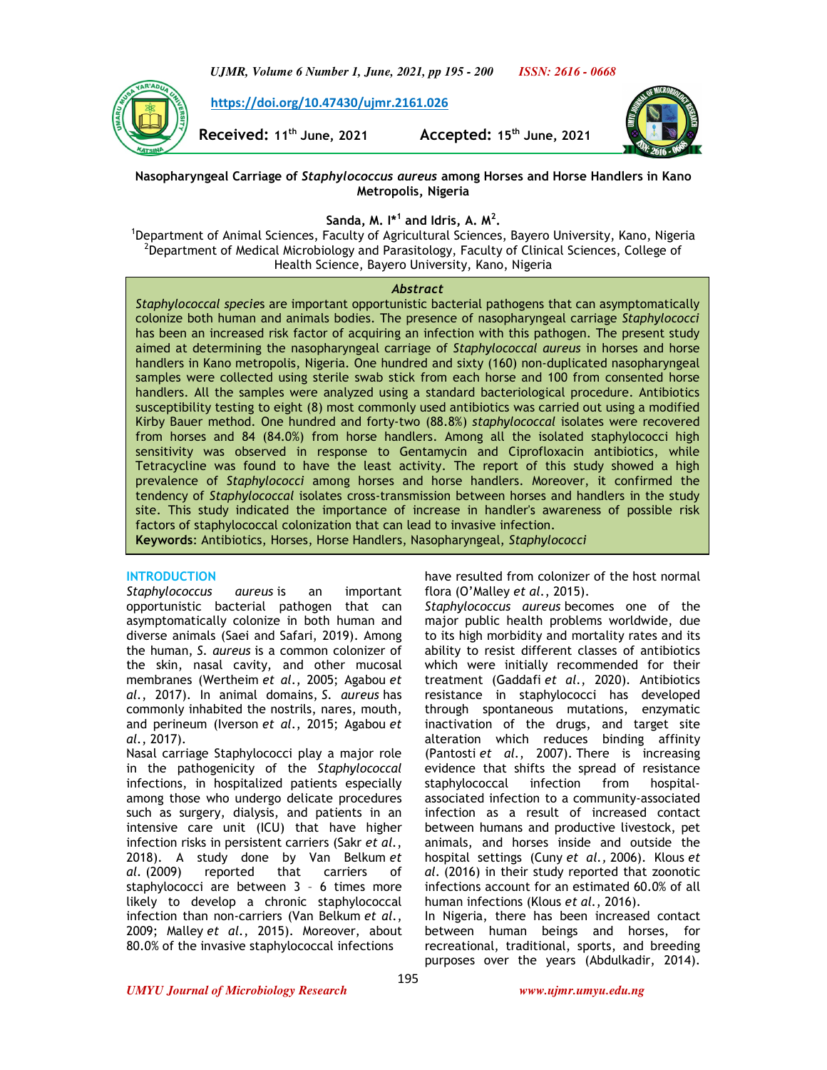

 **https://doi.org/10.47430/ujmr.2161.026**

**Received: 11th June, 2021 Accepted: 15th June, 2021** 



**Nasopharyngeal Carriage of** *Staphylococcus aureus* **among Horses and Horse Handlers in Kano Metropolis, Nigeria** 

**Sanda, M. I\*<sup>1</sup> and Idris, A. M<sup>2</sup> .** 

<sup>1</sup>Department of Animal Sciences, Faculty of Agricultural Sciences, Bayero University, Kano, Nigeria <sup>2</sup>Department of Medical Microbiology and Parasitology, Faculty of Clinical Sciences, College of Health Science, Bayero University, Kano, Nigeria

### *Abstract*

*Staphylococcal specie*s are important opportunistic bacterial pathogens that can asymptomatically colonize both human and animals bodies. The presence of nasopharyngeal carriage *Staphylococci* has been an increased risk factor of acquiring an infection with this pathogen. The present study aimed at determining the nasopharyngeal carriage of *Staphylococcal aureus* in horses and horse handlers in Kano metropolis, Nigeria. One hundred and sixty (160) non-duplicated nasopharyngeal samples were collected using sterile swab stick from each horse and 100 from consented horse handlers. All the samples were analyzed using a standard bacteriological procedure. Antibiotics susceptibility testing to eight (8) most commonly used antibiotics was carried out using a modified Kirby Bauer method. One hundred and forty-two (88.8%) *staphylococcal* isolates were recovered from horses and 84 (84.0%) from horse handlers. Among all the isolated staphylococci high sensitivity was observed in response to Gentamycin and Ciprofloxacin antibiotics, while Tetracycline was found to have the least activity. The report of this study showed a high prevalence of *Staphylococci* among horses and horse handlers. Moreover, it confirmed the tendency of *Staphylococcal* isolates cross-transmission between horses and handlers in the study site. This study indicated the importance of increase in handler's awareness of possible risk factors of staphylococcal colonization that can lead to invasive infection.

**Keywords**: Antibiotics, Horses, Horse Handlers, Nasopharyngeal, *Staphylococci* 

## **INTRODUCTION**

*Staphylococcus aureus* is an important opportunistic bacterial pathogen that can asymptomatically colonize in both human and diverse animals (Saei and Safari, 2019). Among the human, *S. aureus* is a common colonizer of the skin, nasal cavity, and other mucosal membranes (Wertheim *et al.*, 2005; Agabou *et al.*, 2017). In animal domains, *S. aureus* has commonly inhabited the nostrils, nares, mouth, and perineum (Iverson *et al.*, 2015; Agabou *et al.*, 2017).

Nasal carriage Staphylococci play a major role in the pathogenicity of the *Staphylococcal*  infections, in hospitalized patients especially among those who undergo delicate procedures such as surgery, dialysis, and patients in an intensive care unit (ICU) that have higher infection risks in persistent carriers (Sakr *et al.*, 2018). A study done by Van Belkum *et al.* (2009) reported that carriers of staphylococci are between 3 – 6 times more likely to develop a chronic staphylococcal infection than non-carriers (Van Belkum *et al.*, 2009; Malley *et al.*, 2015). Moreover, about 80.0% of the invasive staphylococcal infections

have resulted from colonizer of the host normal flora (O'Malley *et al.*, 2015).

*Staphylococcus aureus* becomes one of the major public health problems worldwide, due to its high morbidity and mortality rates and its ability to resist different classes of antibiotics which were initially recommended for their treatment (Gaddafi *et al.*, 2020). Antibiotics resistance in staphylococci has developed through spontaneous mutations, enzymatic inactivation of the drugs, and target site alteration which reduces binding affinity (Pantosti *et al.*, 2007). There is increasing evidence that shifts the spread of resistance staphylococcal infection from hospitalassociated infection to a community-associated infection as a result of increased contact between humans and productive livestock, pet animals, and horses inside and outside the hospital settings (Cuny *et al.,* 2006). Klous *et al.* (2016) in their study reported that zoonotic infections account for an estimated 60.0% of all human infections (Klous *et al.*, 2016).

In Nigeria, there has been increased contact between human beings and horses, for recreational, traditional, sports, and breeding purposes over the years (Abdulkadir, 2014).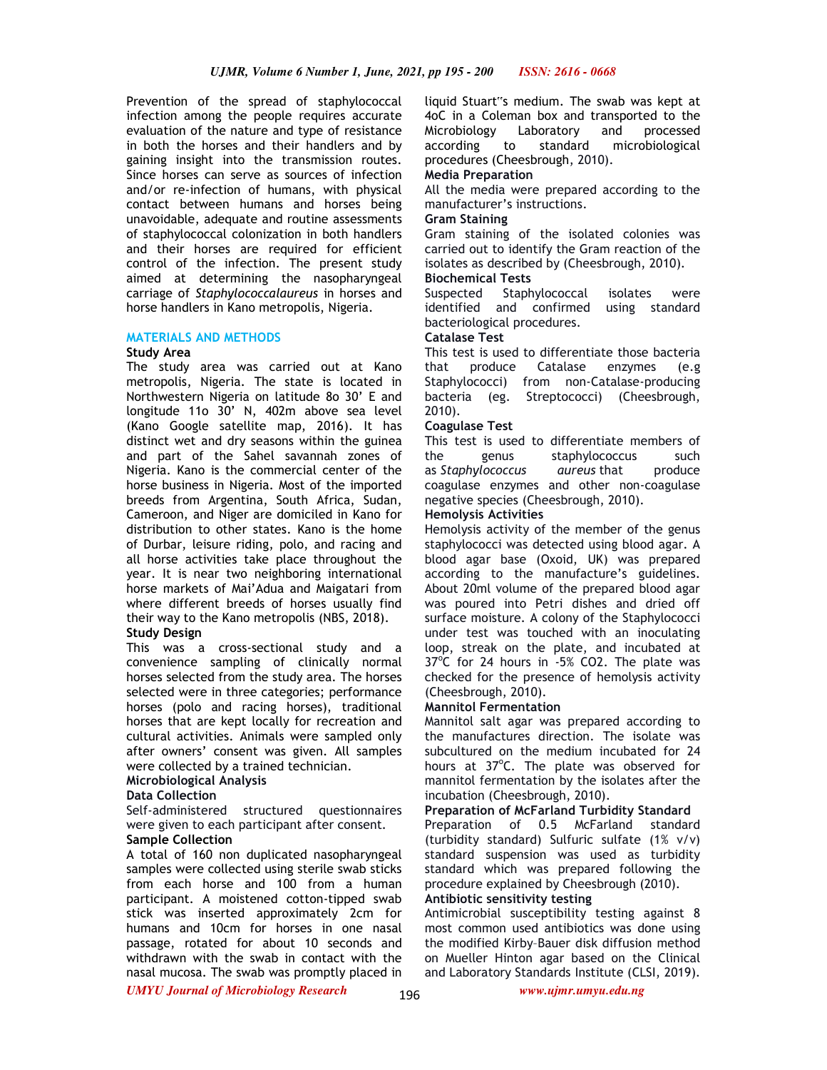Prevention of the spread of staphylococcal infection among the people requires accurate evaluation of the nature and type of resistance in both the horses and their handlers and by gaining insight into the transmission routes. Since horses can serve as sources of infection and/or re-infection of humans, with physical contact between humans and horses being unavoidable, adequate and routine assessments of staphylococcal colonization in both handlers and their horses are required for efficient control of the infection. The present study aimed at determining the nasopharyngeal carriage of *Staphylococcalaureus* in horses and horse handlers in Kano metropolis, Nigeria.

### **MATERIALS AND METHODS**

#### **Study Area**

The study area was carried out at Kano metropolis, Nigeria. The state is located in Northwestern Nigeria on latitude 8o 30' E and longitude 11o 30' N, 402m above sea level (Kano Google satellite map, 2016). It has distinct wet and dry seasons within the guinea and part of the Sahel savannah zones of Nigeria. Kano is the commercial center of the horse business in Nigeria. Most of the imported breeds from Argentina, South Africa, Sudan, Cameroon, and Niger are domiciled in Kano for distribution to other states. Kano is the home of Durbar, leisure riding, polo, and racing and all horse activities take place throughout the year. It is near two neighboring international horse markets of Mai'Adua and Maigatari from where different breeds of horses usually find their way to the Kano metropolis (NBS, 2018).

## **Study Design**

This was a cross-sectional study and a convenience sampling of clinically normal horses selected from the study area. The horses selected were in three categories; performance horses (polo and racing horses), traditional horses that are kept locally for recreation and cultural activities. Animals were sampled only after owners' consent was given. All samples were collected by a trained technician.

#### **Microbiological Analysis**

## **Data Collection**

Self-administered structured questionnaires were given to each participant after consent. **Sample Collection** 

# A total of 160 non duplicated nasopharyngeal samples were collected using sterile swab sticks from each horse and 100 from a human participant. A moistened cotton-tipped swab stick was inserted approximately 2cm for humans and 10cm for horses in one nasal passage, rotated for about 10 seconds and withdrawn with the swab in contact with the nasal mucosa. The swab was promptly placed in

liquid Stuart"s medium. The swab was kept at 4oC in a Coleman box and transported to the Microbiology Laboratory and processed according to standard microbiological procedures (Cheesbrough, 2010).

# **Media Preparation**

All the media were prepared according to the manufacturer's instructions.

### **Gram Staining**

Gram staining of the isolated colonies was carried out to identify the Gram reaction of the isolates as described by (Cheesbrough, 2010).

### **Biochemical Tests**

Suspected Staphylococcal isolates were identified and confirmed using standard bacteriological procedures.

### **Catalase Test**

This test is used to differentiate those bacteria that produce Catalase enzymes (e.g Staphylococci) from non-Catalase-producing bacteria (eg. Streptococci) (Cheesbrough, 2010).

## **Coagulase Test**

This test is used to differentiate members of the genus staphylococcus such as *Staphylococcus aureus* that produce coagulase enzymes and other non-coagulase negative species (Cheesbrough, 2010).

### **Hemolysis Activities**

Hemolysis activity of the member of the genus staphylococci was detected using blood agar. A blood agar base (Oxoid, UK) was prepared according to the manufacture's guidelines. About 20ml volume of the prepared blood agar was poured into Petri dishes and dried off surface moisture. A colony of the Staphylococci under test was touched with an inoculating loop, streak on the plate, and incubated at 37°C for 24 hours in -5% CO2. The plate was checked for the presence of hemolysis activity (Cheesbrough, 2010).

#### **Mannitol Fermentation**

Mannitol salt agar was prepared according to the manufactures direction. The isolate was subcultured on the medium incubated for 24 hours at 37°C. The plate was observed for mannitol fermentation by the isolates after the incubation (Cheesbrough, 2010).

## **Preparation of McFarland Turbidity Standard**

Preparation of 0.5 McFarland standard (turbidity standard) Sulfuric sulfate (1% v/v) standard suspension was used as turbidity standard which was prepared following the procedure explained by Cheesbrough (2010).

# **Antibiotic sensitivity testing**

Antimicrobial susceptibility testing against 8 most common used antibiotics was done using the modified Kirby–Bauer disk diffusion method on Mueller Hinton agar based on the Clinical and Laboratory Standards Institute (CLSI, 2019).

*UMYU Journal of Microbiology Research www.ujmr.umyu.edu.ng*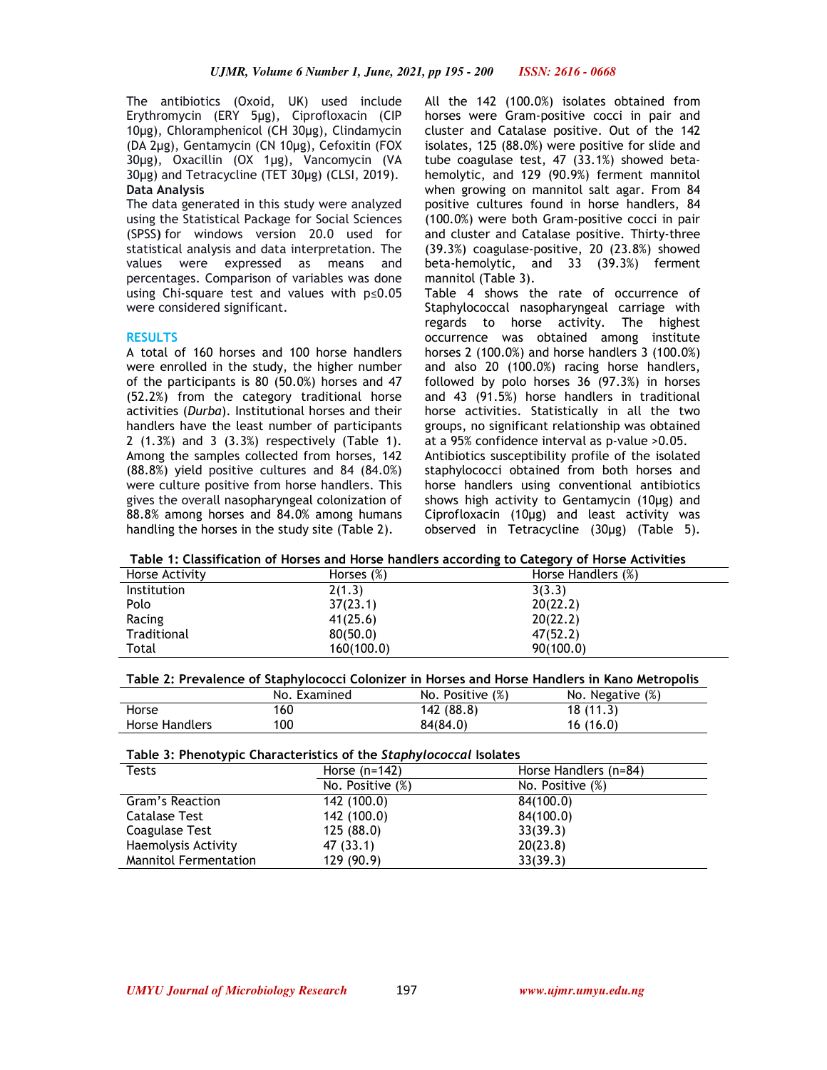The antibiotics (Oxoid, UK) used include Erythromycin (ERY 5µg), Ciprofloxacin (CIP 10µg), Chloramphenicol (CH 30µg), Clindamycin (DA 2µg), Gentamycin (CN 10µg), Cefoxitin (FOX 30µg), Oxacillin (OX 1µg), Vancomycin (VA 30µg) and Tetracycline (TET 30µg) (CLSI, 2019). **Data Analysis**

The data generated in this study were analyzed using the Statistical Package for Social Sciences (SPSS**)** for windows version 20.0 used for statistical analysis and data interpretation. The values were expressed as means and percentages. Comparison of variables was done using Chi-square test and values with p≤0.05 were considered significant.

### **RESULTS**

A total of 160 horses and 100 horse handlers were enrolled in the study, the higher number of the participants is 80 (50.0%) horses and 47 (52.2%) from the category traditional horse activities (*Durba*). Institutional horses and their handlers have the least number of participants 2 (1.3%) and 3 (3.3%) respectively (Table 1). Among the samples collected from horses, 142 (88.8%) yield positive cultures and 84 (84.0%) were culture positive from horse handlers. This gives the overall nasopharyngeal colonization of 88.8% among horses and 84.0% among humans handling the horses in the study site (Table 2).

All the 142 (100.0%) isolates obtained from horses were Gram-positive cocci in pair and cluster and Catalase positive. Out of the 142 isolates, 125 (88.0%) were positive for slide and tube coagulase test, 47 (33.1%) showed betahemolytic, and 129 (90.9%) ferment mannitol when growing on mannitol salt agar. From 84 positive cultures found in horse handlers, 84 (100.0%) were both Gram-positive cocci in pair and cluster and Catalase positive. Thirty-three (39.3%) coagulase-positive, 20 (23.8%) showed beta-hemolytic, and 33 (39.3%) ferment mannitol (Table 3).

Table 4 shows the rate of occurrence of Staphylococcal nasopharyngeal carriage with regards to horse activity. The highest occurrence was obtained among institute horses 2 (100.0%) and horse handlers 3 (100.0%) and also 20 (100.0%) racing horse handlers, followed by polo horses 36 (97.3%) in horses and 43 (91.5%) horse handlers in traditional horse activities. Statistically in all the two groups, no significant relationship was obtained at a 95% confidence interval as p-value >0.05.

Antibiotics susceptibility profile of the isolated staphylococci obtained from both horses and horse handlers using conventional antibiotics shows high activity to Gentamycin (10µg) and Ciprofloxacin (10µg) and least activity was observed in Tetracycline (30µg) (Table 5).

**Table 1: Classification of Horses and Horse handlers according to Category of Horse Activities** 

| Horse Activity     | Horses $(\%)$ | Horse Handlers (%) |
|--------------------|---------------|--------------------|
| <b>Institution</b> | 2(1.3)        | 3(3.3)             |
| Polo               | 37(23.1)      | 20(22.2)           |
| Racing             | 41(25.6)      | 20(22.2)           |
| Traditional        | 80(50.0)      | 47(52.2)           |
| Total              | 160(100.0)    | 90(100.0)          |

**Table 2: Prevalence of Staphylococci Colonizer in Horses and Horse Handlers in Kano Metropolis** 

|                       | No. Examined | No. Positive (%) | No. Negative (%) |
|-----------------------|--------------|------------------|------------------|
| Horse                 | 160          | 142 (88.8)       | 18(11.3)         |
| <b>Horse Handlers</b> | 100          | 84(84.0)         | 16(16.0)         |

# **Table 3: Phenotypic Characteristics of the** *Staphylococcal* **Isolates**

| Tests                        | Horse $(n=142)$     | Horse Handlers (n=84) |
|------------------------------|---------------------|-----------------------|
|                              | No. Positive $(\%)$ | No. Positive (%)      |
| Gram's Reaction              | 142 (100.0)         | 84(100.0)             |
| Catalase Test                | 142 (100.0)         | 84(100.0)             |
| Coagulase Test               | 125(88.0)           | 33(39.3)              |
| Haemolysis Activity          | 47 (33.1)           | 20(23.8)              |
| <b>Mannitol Fermentation</b> | 129 (90.9)          | 33(39.3)              |

197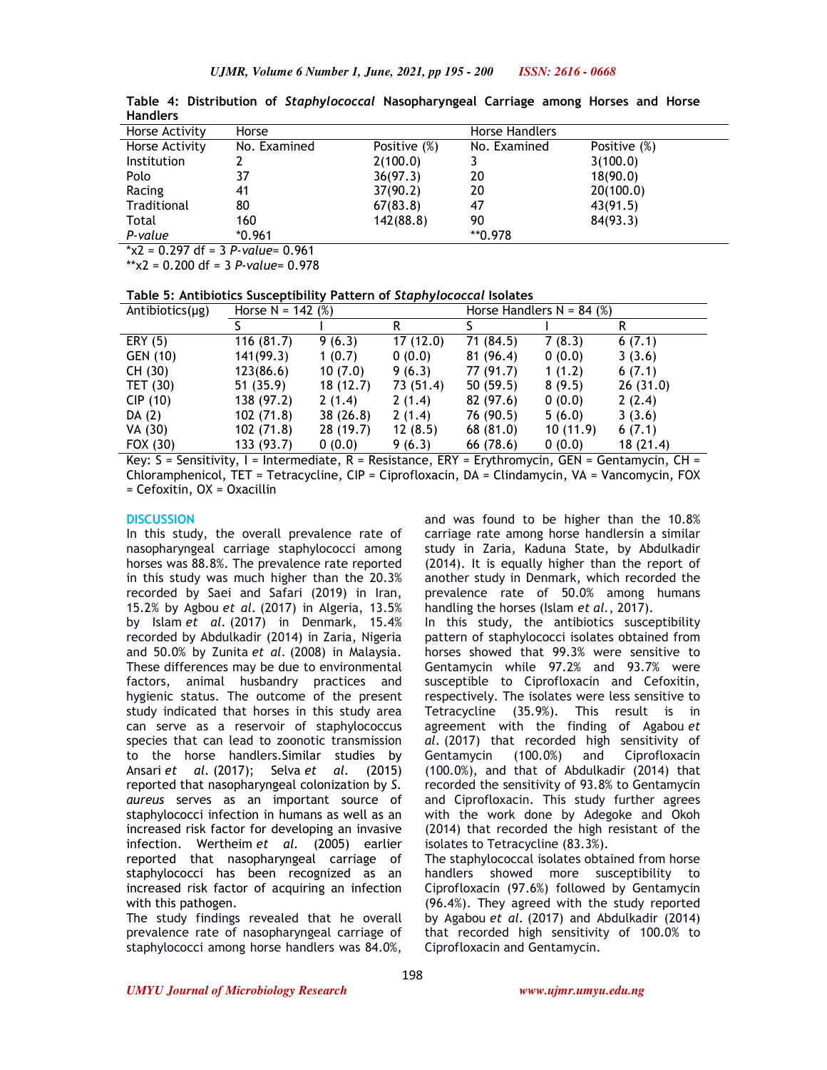| .                  |              |                 |                       |                 |  |
|--------------------|--------------|-----------------|-----------------------|-----------------|--|
| Horse Activity     | Horse        |                 | <b>Horse Handlers</b> |                 |  |
| Horse Activity     | No. Examined | Positive $(\%)$ | No. Examined          | Positive $(\%)$ |  |
| <b>Institution</b> |              | 2(100.0)        |                       | 3(100.0)        |  |
| Polo               | 37           | 36(97.3)        | 20                    | 18(90.0)        |  |
| Racing             | 41           | 37(90.2)        | 20                    | 20(100.0)       |  |
| Traditional        | 80           | 67(83.8)        | 47                    | 43(91.5)        |  |
| Total              | 160          | 142(88.8)       | 90                    | 84(93.3)        |  |
| P-value            | $*0.961$     |                 | **0.978               |                 |  |
|                    |              |                 |                       |                 |  |

**Table 4: Distribution of** *Staphylococcal* **Nasopharyngeal Carriage among Horses and Horse Handlers** 

\*χ2 = 0.297 df = 3 *P-value*= 0.961

\*\*χ2 = 0.200 df = 3 *P-value*= 0.978

**Table 5: Antibiotics Susceptibility Pattern of** *Staphylococcal* **Isolates** 

| Antibiotics $(\mu g)$ | Horse $N = 142$ (%) |          |           | Horse Handlers $N = 84$ (%) |          |          |
|-----------------------|---------------------|----------|-----------|-----------------------------|----------|----------|
|                       |                     |          | R         |                             |          |          |
| ERY (5)               | 116 (81.7)          | 9(6.3)   | 17(12.0)  | 71 (84.5)                   | 7(8.3)   | 6(7.1)   |
| GEN (10)              | 141(99.3)           | 1(0.7)   | 0(0.0)    | 81 (96.4)                   | 0(0.0)   | 3(3.6)   |
| CH(30)                | 123(86.6)           | 10(7.0)  | 9(6.3)    | 77 (91.7)                   | 1(1.2)   | 6(7.1)   |
| TET $(30)$            | 51(35.9)            | 18(12.7) | 73 (51.4) | 50(59.5)                    | 8(9.5)   | 26(31.0) |
| CIP(10)               | 138 (97.2)          | 2(1.4)   | 2(1.4)    | 82 (97.6)                   | 0(0.0)   | 2(2.4)   |
| DA $(2)$              | 102 (71.8)          | 38(26.8) | 2(1.4)    | 76 (90.5)                   | 5(6.0)   | 3(3.6)   |
| VA (30)               | 102 (71.8)          | 28(19.7) | 12(8.5)   | 68(81.0)                    | 10(11.9) | 6(7.1)   |
| FOX (30)              | 133 (93.7)          | 0(0.0)   | 9(6.3)    | 66 (78.6)                   | 0(0.0)   | 18(21.4) |

Key: S = Sensitivity, I = Intermediate, R = Resistance, ERY = Erythromycin, GEN = Gentamycin, CH = Chloramphenicol, TET = Tetracycline, CIP = Ciprofloxacin, DA = Clindamycin, VA = Vancomycin, FOX = Cefoxitin, OX = Oxacillin

### **DISCUSSION**

In this study, the overall prevalence rate of nasopharyngeal carriage staphylococci among horses was 88.8%. The prevalence rate reported in this study was much higher than the 20.3% recorded by Saei and Safari (2019) in Iran, 15.2% by Agbou *et al.* (2017) in Algeria, 13.5% by Islam *et al.* (2017) in Denmark, 15.4% recorded by Abdulkadir (2014) in Zaria, Nigeria and 50.0% by Zunita *et al.* (2008) in Malaysia. These differences may be due to environmental factors, animal husbandry practices and hygienic status. The outcome of the present study indicated that horses in this study area can serve as a reservoir of staphylococcus species that can lead to zoonotic transmission to the horse handlers.Similar studies by Ansari *et al.* (2017); Selva *et al.* (2015) reported that nasopharyngeal colonization by *S. aureus* serves as an important source of staphylococci infection in humans as well as an increased risk factor for developing an invasive infection. Wertheim *et al.* (2005) earlier reported that nasopharyngeal carriage of staphylococci has been recognized as an increased risk factor of acquiring an infection with this pathogen.

The study findings revealed that he overall prevalence rate of nasopharyngeal carriage of staphylococci among horse handlers was 84.0%,

and was found to be higher than the 10.8% carriage rate among horse handlersin a similar study in Zaria, Kaduna State, by Abdulkadir (2014). It is equally higher than the report of another study in Denmark, which recorded the prevalence rate of 50.0% among humans handling the horses (Islam *et al.*, 2017).

In this study, the antibiotics susceptibility pattern of staphylococci isolates obtained from horses showed that 99.3% were sensitive to Gentamycin while 97.2% and 93.7% were susceptible to Ciprofloxacin and Cefoxitin, respectively. The isolates were less sensitive to Tetracycline (35.9%). This result is in agreement with the finding of Agabou *et al.* (2017) that recorded high sensitivity of Gentamycin (100.0%) and Ciprofloxacin (100.0%), and that of Abdulkadir (2014) that recorded the sensitivity of 93.8% to Gentamycin and Ciprofloxacin. This study further agrees with the work done by Adegoke and Okoh (2014) that recorded the high resistant of the isolates to Tetracycline (83.3%).

The staphylococcal isolates obtained from horse handlers showed more susceptibility to Ciprofloxacin (97.6%) followed by Gentamycin (96.4%). They agreed with the study reported by Agabou *et al.* (2017) and Abdulkadir (2014) that recorded high sensitivity of 100.0% to Ciprofloxacin and Gentamycin.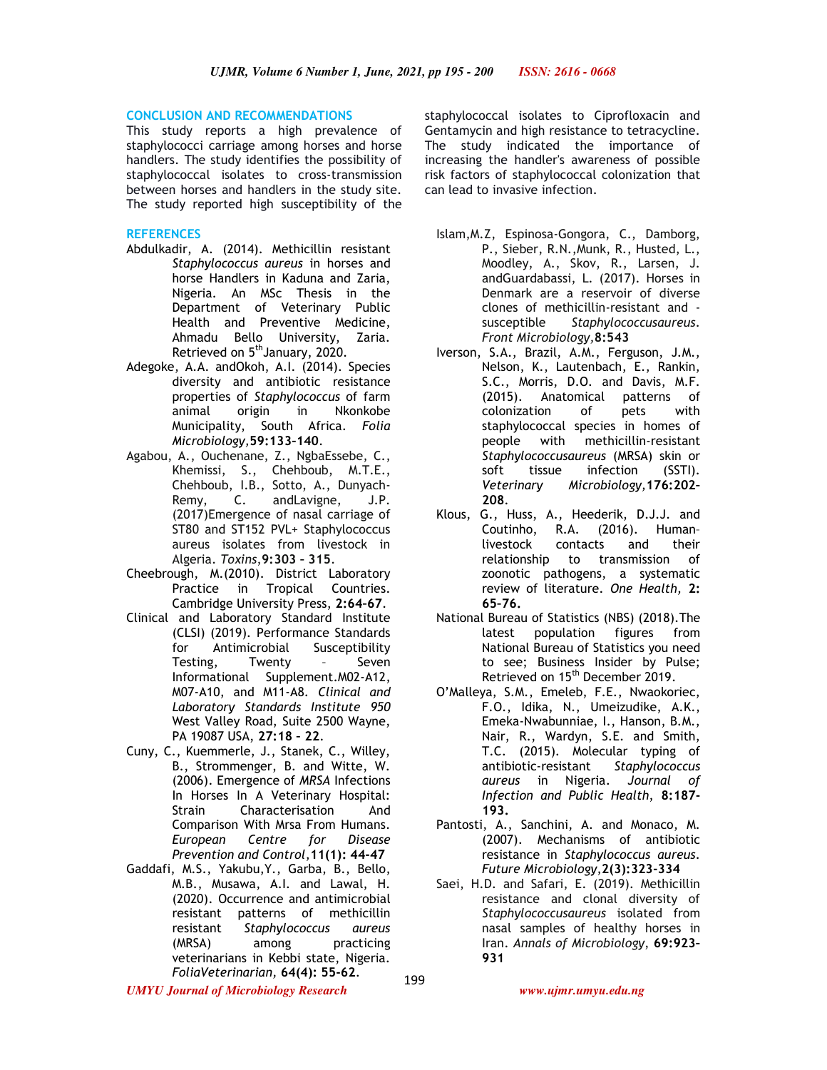### **CONCLUSION AND RECOMMENDATIONS**

This study reports a high prevalence of staphylococci carriage among horses and horse handlers. The study identifies the possibility of staphylococcal isolates to cross-transmission between horses and handlers in the study site. The study reported high susceptibility of the

### **REFERENCES**

- Abdulkadir, A. (2014). Methicillin resistant *Staphylococcus aureus* in horses and horse Handlers in Kaduna and Zaria, Nigeria. An MSc Thesis in the Department of Veterinary Public Health and Preventive Medicine, Ahmadu Bello University, Zaria. Retrieved on 5<sup>th</sup>January, 2020.
- Adegoke, A.A. andOkoh, A.I. (2014). Species diversity and antibiotic resistance properties of *Staphylococcus* of farm origin in Nkonkobe Municipality, South Africa. *Folia Microbiology,***59:133–140**.
- Agabou, A., Ouchenane, Z., NgbaEssebe, C., Khemissi, S., Chehboub, M.T.E., Chehboub, I.B., Sotto, A., Dunyach-Remy, C. andLavigne, J.P. (2017)Emergence of nasal carriage of ST80 and ST152 PVL+ Staphylococcus aureus isolates from livestock in Algeria. *Toxins*,**9:303 – 315**.
- Cheebrough, M.(2010). District Laboratory Practice in Tropical Countries. Cambridge University Press, **2:64–67**.
- Clinical and Laboratory Standard Institute (CLSI) (2019). Performance Standards for Antimicrobial Susceptibility Testing, Twenty – Seven Informational Supplement.M02-A12, M07-A10, and M11-A8*. Clinical and Laboratory Standards Institute 950* West Valley Road, Suite 2500 Wayne, PA 19087 USA, **27:18 – 22**.
- Cuny, C., Kuemmerle, J., Stanek, C., Willey, B., Strommenger, B. and Witte, W. (2006). Emergence of *MRSA* Infections In Horses In A Veterinary Hospital: Strain Characterisation And Comparison With Mrsa From Humans. *European Centre for Disease Prevention and Control*,**11(1): 44-47**
- Gaddafi, M.S., Yakubu,Y., Garba, B., Bello, M.B., Musawa, A.I. and Lawal, H. (2020). Occurrence and antimicrobial resistant patterns of methicillin resistant *Staphylococcus aureus*  (MRSA) among practicing veterinarians in Kebbi state, Nigeria. *FoliaVeterinarian,* **64(4): 55-62**.

staphylococcal isolates to Ciprofloxacin and Gentamycin and high resistance to tetracycline. The study indicated the importance of increasing the handler's awareness of possible risk factors of staphylococcal colonization that can lead to invasive infection.

- Islam,M.Z, Espinosa-Gongora, C., Damborg, P., Sieber, R.N.,Munk, R., Husted, L., Moodley, A., Skov, R., Larsen, J. andGuardabassi, L. (2017). Horses in Denmark are a reservoir of diverse clones of methicillin-resistant and susceptible *Staphylococcusaureus*. *Front Microbiology,***8:543**
- Iverson, S.A., Brazil, A.M., Ferguson, J.M., Nelson, K., Lautenbach, E., Rankin, S.C., Morris, D.O. and Davis, M.F. (2015). Anatomical patterns of colonization of pets with staphylococcal species in homes of people with methicillin-resistant *Staphylococcusaureus* (MRSA) skin or soft tissue infection (SSTI). *Veterinary Microbiology,***176:202– 208**.
- Klous, G., Huss, A., Heederik, D.J.J. and Coutinho, R.A. (2016). Human-<br>livestock contacts and their livestock contacts and relationship to transmission of zoonotic pathogens, a systematic review of literature. *One Health,* **2: 65–76.**
- National Bureau of Statistics (NBS) (2018).The latest population figures from National Bureau of Statistics you need to see; Business Insider by Pulse; Retrieved on 15<sup>th</sup> December 2019.
- O'Malleya, S.M., Emeleb, F.E., Nwaokoriec, F.O., Idika, N., Umeizudike, A.K., Emeka-Nwabunniae, I., Hanson, B.M., Nair, R., Wardyn, S.E. and Smith, T.C. (2015). Molecular typing of antibiotic-resistant *Staphylococcus aureus* in Nigeria. *Journal of Infection and Public Health*, **8:187- 193.**
- Pantosti, A., Sanchini, A. and Monaco, M. (2007). Mechanisms of antibiotic resistance in *Staphylococcus aureus*. *Future Microbiology*,**2(3):323-334**
- Saei, H.D. and Safari, E. (2019). Methicillin resistance and clonal diversity of *Staphylococcusaureus* isolated from nasal samples of healthy horses in Iran. *Annals of Microbiology*, **69:923– 931**

*UMYU Journal of Microbiology Research www.ujmr.umyu.edu.ng*